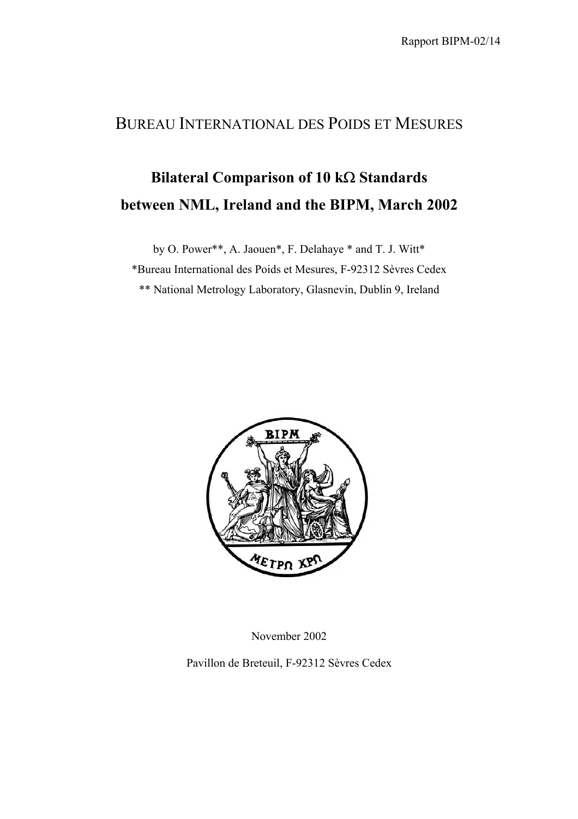## BUREAU INTERNATIONAL DES POIDS ET MESURES

## **Bilateral Comparison of 10 k**Ω **Standards between NML, Ireland and the BIPM, March 2002**

by O. Power\*\*, A. Jaouen\*, F. Delahaye \* and T. J. Witt\*

\*Bureau International des Poids et Mesures, F-92312 Sèvres Cedex

\*\* National Metrology Laboratory, Glasnevin, Dublin 9, Ireland



November 2002

Pavillon de Breteuil, F-92312 Sèvres Cedex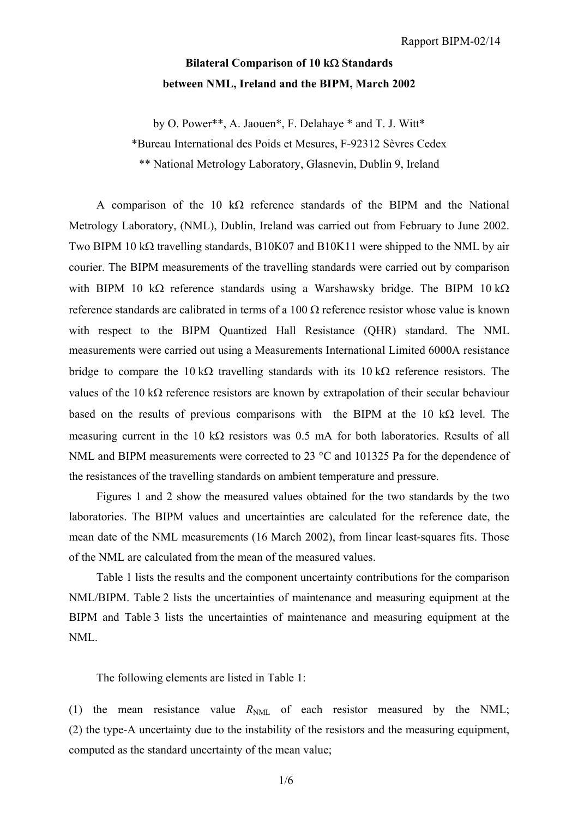## **Bilateral Comparison of 10 k**Ω **Standards between NML, Ireland and the BIPM, March 2002**

by O. Power\*\*, A. Jaouen\*, F. Delahaye \* and T. J. Witt\*

\*Bureau International des Poids et Mesures, F-92312 Sèvres Cedex

\*\* National Metrology Laboratory, Glasnevin, Dublin 9, Ireland

A comparison of the 10 kΩ reference standards of the BIPM and the National Metrology Laboratory, (NML), Dublin, Ireland was carried out from February to June 2002. Two BIPM 10 kΩ travelling standards, B10K07 and B10K11 were shipped to the NML by air courier. The BIPM measurements of the travelling standards were carried out by comparison with BIPM 10 kΩ reference standards using a Warshawsky bridge. The BIPM 10 kΩ reference standards are calibrated in terms of a  $100 \Omega$  reference resistor whose value is known with respect to the BIPM Quantized Hall Resistance (QHR) standard. The NML measurements were carried out using a Measurements International Limited 6000A resistance bridge to compare the 10 kΩ travelling standards with its 10 kΩ reference resistors. The values of the 10 kΩ reference resistors are known by extrapolation of their secular behaviour based on the results of previous comparisons with the BIPM at the 10 k $\Omega$  level. The measuring current in the 10 k $\Omega$  resistors was 0.5 mA for both laboratories. Results of all NML and BIPM measurements were corrected to 23 °C and 101325 Pa for the dependence of the resistances of the travelling standards on ambient temperature and pressure.

Figures 1 and 2 show the measured values obtained for the two standards by the two laboratories. The BIPM values and uncertainties are calculated for the reference date, the mean date of the NML measurements (16 March 2002), from linear least-squares fits. Those of the NML are calculated from the mean of the measured values.

Table 1 lists the results and the component uncertainty contributions for the comparison NML/BIPM. Table 2 lists the uncertainties of maintenance and measuring equipment at the BIPM and Table 3 lists the uncertainties of maintenance and measuring equipment at the NML.

The following elements are listed in Table 1:

(1) the mean resistance value  $R_{NML}$  of each resistor measured by the NML; (2) the type-A uncertainty due to the instability of the resistors and the measuring equipment, computed as the standard uncertainty of the mean value;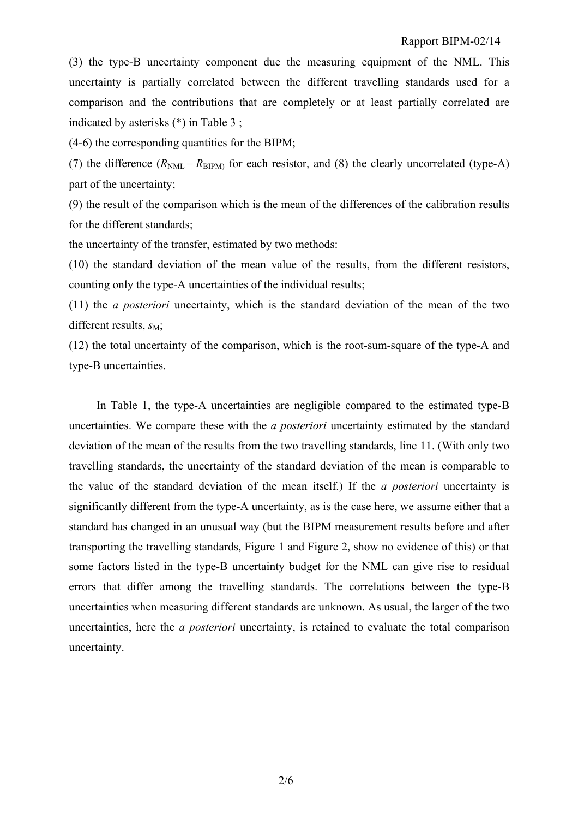(3) the type-B uncertainty component due the measuring equipment of the NML. This uncertainty is partially correlated between the different travelling standards used for a comparison and the contributions that are completely or at least partially correlated are indicated by asterisks (\*) in Table 3 ;

(4-6) the corresponding quantities for the BIPM;

(7) the difference  $(R_{\text{NML}} - R_{\text{BIPM}})$  for each resistor, and (8) the clearly uncorrelated (type-A) part of the uncertainty;

(9) the result of the comparison which is the mean of the differences of the calibration results for the different standards;

the uncertainty of the transfer, estimated by two methods:

(10) the standard deviation of the mean value of the results, from the different resistors, counting only the type-A uncertainties of the individual results;

(11) the *a posteriori* uncertainty, which is the standard deviation of the mean of the two different results,  $s_M$ ;

(12) the total uncertainty of the comparison, which is the root-sum-square of the type-A and type-B uncertainties.

In Table 1, the type-A uncertainties are negligible compared to the estimated type-B uncertainties. We compare these with the *a posteriori* uncertainty estimated by the standard deviation of the mean of the results from the two travelling standards, line 11. (With only two travelling standards, the uncertainty of the standard deviation of the mean is comparable to the value of the standard deviation of the mean itself.) If the *a posteriori* uncertainty is significantly different from the type-A uncertainty, as is the case here, we assume either that a standard has changed in an unusual way (but the BIPM measurement results before and after transporting the travelling standards, Figure 1 and Figure 2, show no evidence of this) or that some factors listed in the type-B uncertainty budget for the NML can give rise to residual errors that differ among the travelling standards. The correlations between the type-B uncertainties when measuring different standards are unknown. As usual, the larger of the two uncertainties, here the *a posteriori* uncertainty, is retained to evaluate the total comparison uncertainty.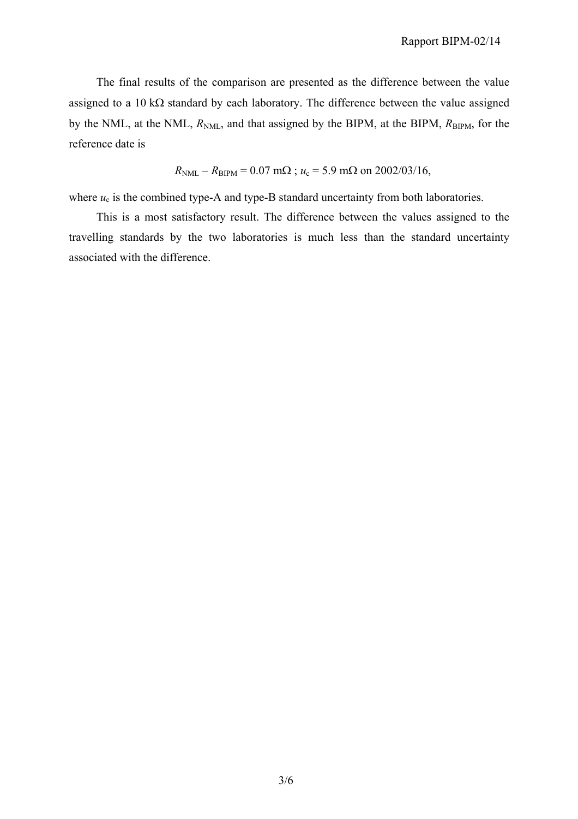The final results of the comparison are presented as the difference between the value assigned to a 10 kΩ standard by each laboratory. The difference between the value assigned by the NML, at the NML,  $R_{NML}$ , and that assigned by the BIPM, at the BIPM,  $R_{BIPM}$ , for the reference date is

$$
R_{\text{NML}} - R_{\text{BIPM}} = 0.07 \text{ m}\Omega
$$
;  $u_c = 5.9 \text{ m}\Omega$  on 2002/03/16,

where  $u_c$  is the combined type-A and type-B standard uncertainty from both laboratories.

This is a most satisfactory result. The difference between the values assigned to the travelling standards by the two laboratories is much less than the standard uncertainty associated with the difference.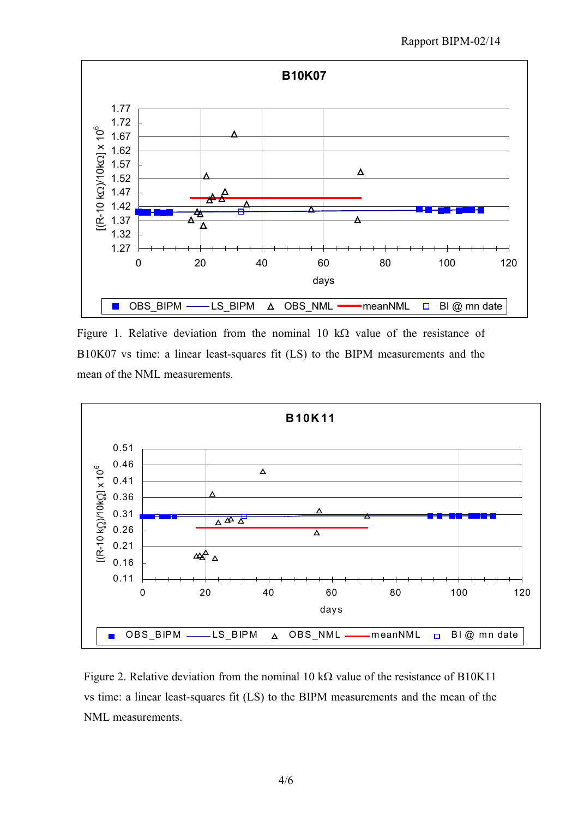

Figure 1. Relative deviation from the nominal 10 kΩ value of the resistance of B10K07 vs time: a linear least-squares fit (LS) to the BIPM measurements and the mean of the NML measurements.



Figure 2. Relative deviation from the nominal 10 k $\Omega$  value of the resistance of B10K11 vs time: a linear least-squares fit (LS) to the BIPM measurements and the mean of the NML measurements.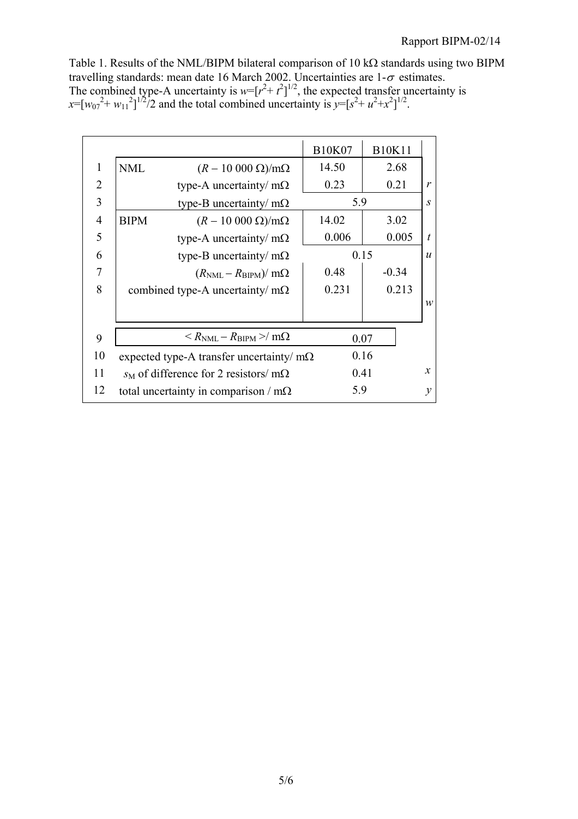Table 1. Results of the NML/BIPM bilateral comparison of 10 kΩ standards using two BIPM travelling standards: mean date 16 March 2002. Uncertainties are  $1-\sigma$  estimates. The combined type-A uncertainty is  $w=[r^2 + t^2]^{1/2}$ , the expected transfer uncertainty is  $x=[w_{07}^2 + w_{11}^2]^{1/2}/2$  and the total combined uncertainty is  $y=[s^2 + u^2 + x^2]^{1/2}$ .

|                |                                        |                                                        | <b>B10K07</b> | <b>B10K11</b>            |                  |
|----------------|----------------------------------------|--------------------------------------------------------|---------------|--------------------------|------------------|
| 1              | <b>NML</b>                             | $(R-10\ 000\ \Omega)/m\Omega$                          | 14.50         | 2.68                     |                  |
| $\overline{2}$ |                                        | type-A uncertainty/ $m\Omega$                          | 0.23          | 0.21                     | $\mathbf{r}$     |
| $\overline{3}$ | 5.9<br>type-B uncertainty/ $m\Omega$   |                                                        |               | $\mathcal{S}$            |                  |
| $\overline{4}$ | <b>BIPM</b>                            | $(R-10\ 000\ \Omega)/m\Omega$                          | 14.02         | 3.02                     |                  |
| 5              |                                        | type-A uncertainty/ $m\Omega$                          | 0.006         | 0.005                    | $\boldsymbol{t}$ |
| 6              |                                        | type-B uncertainty/ $m\Omega$                          |               | 0.15<br>$\boldsymbol{u}$ |                  |
| $\overline{7}$ |                                        | $(R_{\text{NML}} - R_{\text{BIPM}})/m\Omega$           | 0.48          | $-0.34$                  |                  |
| 8              | combined type-A uncertainty/ $m\Omega$ |                                                        | 0.231         | 0.213                    |                  |
|                |                                        |                                                        |               |                          | $\mathcal{W}$    |
|                |                                        |                                                        |               |                          |                  |
| 9              |                                        | $\langle R_{\rm NMI} - R_{\rm BIPM} \rangle / m\Omega$ |               | 0.07                     |                  |
| 10             |                                        | expected type-A transfer uncertainty/ $m\Omega$        |               | 0.16                     |                  |
| 11             |                                        | $s_M$ of difference for 2 resistors/ m $\Omega$        |               | 0.41                     | $\mathcal{X}$    |
| 12             |                                        | total uncertainty in comparison / $m\Omega$            | 5.9           |                          | $\mathcal{V}$    |
|                |                                        |                                                        |               |                          |                  |